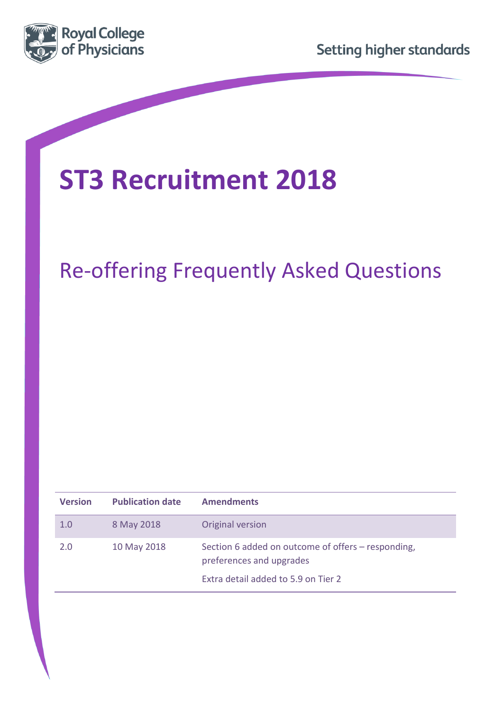



# **ST3 Recruitment 2018**

# Re-offering Frequently Asked Questions

| <b>Version</b> | <b>Publication date</b> | <b>Amendments</b>                                                              |
|----------------|-------------------------|--------------------------------------------------------------------------------|
| 1.0            | 8 May 2018              | Original version                                                               |
| 2.0            | 10 May 2018             | Section 6 added on outcome of offers – responding,<br>preferences and upgrades |
|                |                         | Extra detail added to 5.9 on Tier 2                                            |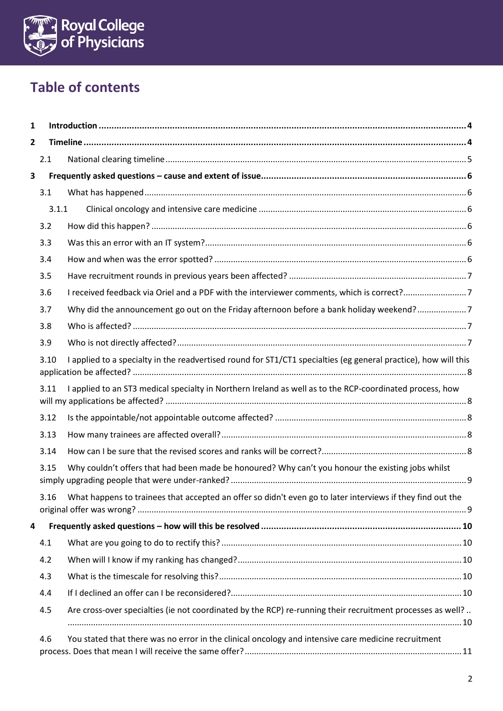

# **Table of contents**

| 1 |      |                                                                                                                 |  |
|---|------|-----------------------------------------------------------------------------------------------------------------|--|
| 2 |      |                                                                                                                 |  |
|   | 2.1  |                                                                                                                 |  |
| 3 |      |                                                                                                                 |  |
|   | 3.1  |                                                                                                                 |  |
|   |      | 3.1.1                                                                                                           |  |
|   | 3.2  |                                                                                                                 |  |
|   | 3.3  |                                                                                                                 |  |
|   | 3.4  |                                                                                                                 |  |
|   | 3.5  |                                                                                                                 |  |
|   | 3.6  | I received feedback via Oriel and a PDF with the interviewer comments, which is correct?7                       |  |
|   | 3.7  | Why did the announcement go out on the Friday afternoon before a bank holiday weekend?7                         |  |
|   | 3.8  |                                                                                                                 |  |
|   | 3.9  |                                                                                                                 |  |
|   | 3.10 | I applied to a specialty in the readvertised round for ST1/CT1 specialties (eg general practice), how will this |  |
|   | 3.11 | I applied to an ST3 medical specialty in Northern Ireland as well as to the RCP-coordinated process, how        |  |
|   | 3.12 |                                                                                                                 |  |
|   | 3.13 |                                                                                                                 |  |
|   | 3.14 |                                                                                                                 |  |
|   | 3.15 | Why couldn't offers that had been made be honoured? Why can't you honour the existing jobs whilst               |  |
|   |      | 3.16 What happens to trainees that accepted an offer so didn't even go to later interviews if they find out the |  |
| 4 |      |                                                                                                                 |  |
|   | 4.1  |                                                                                                                 |  |
|   | 4.2  |                                                                                                                 |  |
|   | 4.3  |                                                                                                                 |  |
|   | 4.4  |                                                                                                                 |  |
|   | 4.5  | Are cross-over specialties (ie not coordinated by the RCP) re-running their recruitment processes as well?      |  |
|   | 4.6  | You stated that there was no error in the clinical oncology and intensive care medicine recruitment             |  |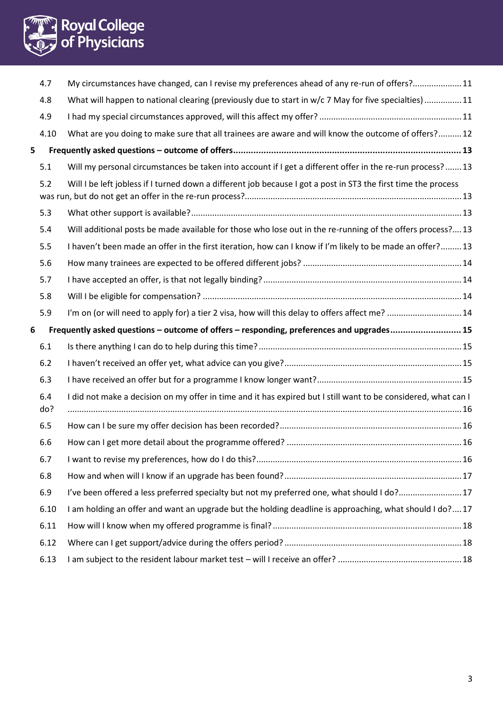

|   | 4.7        | My circumstances have changed, can I revise my preferences ahead of any re-run of offers?11                    |  |
|---|------------|----------------------------------------------------------------------------------------------------------------|--|
|   | 4.8        | What will happen to national clearing (previously due to start in w/c 7 May for five specialties) 11           |  |
|   | 4.9        |                                                                                                                |  |
|   | 4.10       | What are you doing to make sure that all trainees are aware and will know the outcome of offers? 12            |  |
| 5 |            |                                                                                                                |  |
|   | 5.1        | Will my personal circumstances be taken into account if I get a different offer in the re-run process?13       |  |
|   | 5.2        | Will I be left jobless if I turned down a different job because I got a post in ST3 the first time the process |  |
|   | 5.3        |                                                                                                                |  |
|   | 5.4        | Will additional posts be made available for those who lose out in the re-running of the offers process?13      |  |
|   | 5.5        | I haven't been made an offer in the first iteration, how can I know if I'm likely to be made an offer?13       |  |
|   | 5.6        |                                                                                                                |  |
|   | 5.7        |                                                                                                                |  |
|   | 5.8        |                                                                                                                |  |
|   | 5.9        | I'm on (or will need to apply for) a tier 2 visa, how will this delay to offers affect me?  14                 |  |
|   |            |                                                                                                                |  |
|   |            | Frequently asked questions - outcome of offers - responding, preferences and upgrades15                        |  |
| 6 | 6.1        |                                                                                                                |  |
|   | 6.2        |                                                                                                                |  |
|   | 6.3        |                                                                                                                |  |
|   | 6.4<br>do? | I did not make a decision on my offer in time and it has expired but I still want to be considered, what can I |  |
|   | 6.5        |                                                                                                                |  |
|   | 6.6        |                                                                                                                |  |
|   | 6.7        |                                                                                                                |  |
|   | 6.8        |                                                                                                                |  |
|   | 6.9        | I've been offered a less preferred specialty but not my preferred one, what should I do?17                     |  |
|   | 6.10       | I am holding an offer and want an upgrade but the holding deadline is approaching, what should I do?17         |  |
|   | 6.11       |                                                                                                                |  |
|   | 6.12       |                                                                                                                |  |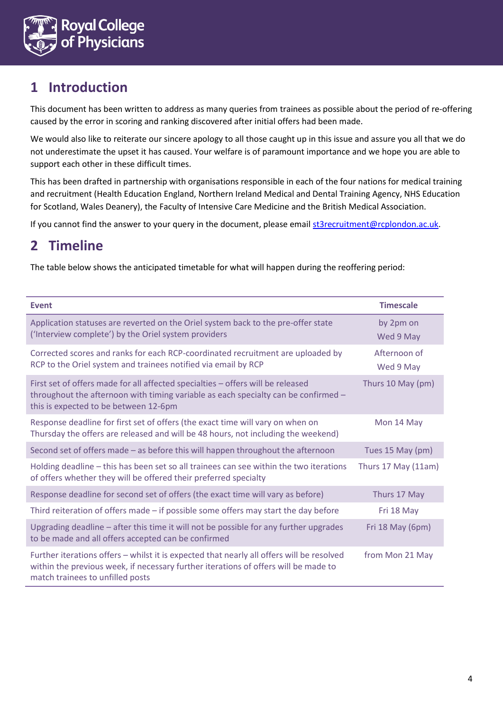

# <span id="page-3-0"></span>**1 Introduction**

This document has been written to address as many queries from trainees as possible about the period of re-offering caused by the error in scoring and ranking discovered after initial offers had been made.

We would also like to reiterate our sincere apology to all those caught up in this issue and assure you all that we do not underestimate the upset it has caused. Your welfare is of paramount importance and we hope you are able to support each other in these difficult times.

This has been drafted in partnership with organisations responsible in each of the four nations for medical training and recruitment (Health Education England, Northern Ireland Medical and Dental Training Agency, NHS Education for Scotland, Wales Deanery), the Faculty of Intensive Care Medicine and the British Medical Association.

If you cannot find the answer to your query in the document, please email [st3recruitment@rcplondon.ac.uk.](mailto:st3recruitment@rcplondon.ac.uk)

## <span id="page-3-1"></span>**2 Timeline**

The table below shows the anticipated timetable for what will happen during the reoffering period:

<span id="page-3-2"></span>

| <b>Event</b>                                                                                                                                                                                                         | <b>Timescale</b>          |
|----------------------------------------------------------------------------------------------------------------------------------------------------------------------------------------------------------------------|---------------------------|
| Application statuses are reverted on the Oriel system back to the pre-offer state<br>('Interview complete') by the Oriel system providers                                                                            | by 2pm on<br>Wed 9 May    |
| Corrected scores and ranks for each RCP-coordinated recruitment are uploaded by<br>RCP to the Oriel system and trainees notified via email by RCP                                                                    | Afternoon of<br>Wed 9 May |
| First set of offers made for all affected specialties - offers will be released<br>throughout the afternoon with timing variable as each specialty can be confirmed -<br>this is expected to be between 12-6pm       | Thurs 10 May (pm)         |
| Response deadline for first set of offers (the exact time will vary on when on<br>Thursday the offers are released and will be 48 hours, not including the weekend)                                                  | Mon 14 May                |
| Second set of offers made - as before this will happen throughout the afternoon                                                                                                                                      | Tues 15 May (pm)          |
| Holding deadline - this has been set so all trainees can see within the two iterations<br>of offers whether they will be offered their preferred specialty                                                           | Thurs 17 May (11am)       |
| Response deadline for second set of offers (the exact time will vary as before)                                                                                                                                      | Thurs 17 May              |
| Third reiteration of offers made - if possible some offers may start the day before                                                                                                                                  | Fri 18 May                |
| Upgrading deadline - after this time it will not be possible for any further upgrades<br>to be made and all offers accepted can be confirmed                                                                         | Fri 18 May (6pm)          |
| Further iterations offers - whilst it is expected that nearly all offers will be resolved<br>within the previous week, if necessary further iterations of offers will be made to<br>match trainees to unfilled posts | from Mon 21 May           |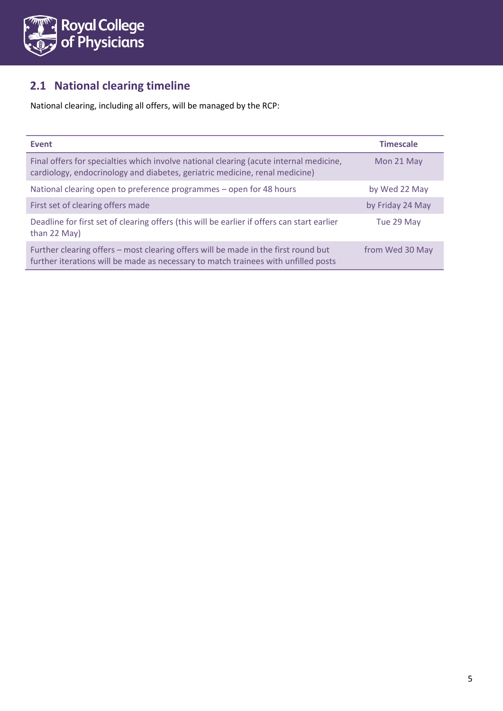

## <span id="page-4-0"></span>**2.1 National clearing timeline**

National clearing, including all offers, will be managed by the RCP:

| <b>Event</b>                                                                                                                                                             | <b>Timescale</b> |
|--------------------------------------------------------------------------------------------------------------------------------------------------------------------------|------------------|
| Final offers for specialties which involve national clearing (acute internal medicine,<br>cardiology, endocrinology and diabetes, geriatric medicine, renal medicine)    | Mon 21 May       |
| National clearing open to preference programmes – open for 48 hours                                                                                                      | by Wed 22 May    |
| First set of clearing offers made                                                                                                                                        | by Friday 24 May |
| Deadline for first set of clearing offers (this will be earlier if offers can start earlier<br>than 22 May)                                                              | Tue 29 May       |
| Further clearing offers – most clearing offers will be made in the first round but<br>further iterations will be made as necessary to match trainees with unfilled posts | from Wed 30 May  |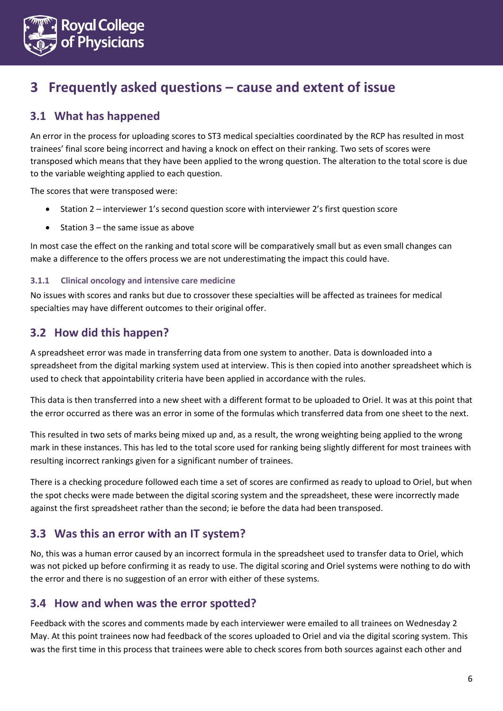

## <span id="page-5-0"></span>**3 Frequently asked questions – cause and extent of issue**

## <span id="page-5-1"></span>**3.1 What has happened**

An error in the process for uploading scores to ST3 medical specialties coordinated by the RCP has resulted in most trainees' final score being incorrect and having a knock on effect on their ranking. Two sets of scores were transposed which means that they have been applied to the wrong question. The alteration to the total score is due to the variable weighting applied to each question.

The scores that were transposed were:

- Station 2 interviewer 1's second question score with interviewer 2's first question score
- $\bullet$  Station 3 the same issue as above

In most case the effect on the ranking and total score will be comparatively small but as even small changes can make a difference to the offers process we are not underestimating the impact this could have.

#### <span id="page-5-2"></span>**3.1.1 Clinical oncology and intensive care medicine**

No issues with scores and ranks but due to crossover these specialties will be affected as trainees for medical specialties may have different outcomes to their original offer.

#### <span id="page-5-3"></span>**3.2 How did this happen?**

A spreadsheet error was made in transferring data from one system to another. Data is downloaded into a spreadsheet from the digital marking system used at interview. This is then copied into another spreadsheet which is used to check that appointability criteria have been applied in accordance with the rules.

This data is then transferred into a new sheet with a different format to be uploaded to Oriel. It was at this point that the error occurred as there was an error in some of the formulas which transferred data from one sheet to the next.

This resulted in two sets of marks being mixed up and, as a result, the wrong weighting being applied to the wrong mark in these instances. This has led to the total score used for ranking being slightly different for most trainees with resulting incorrect rankings given for a significant number of trainees.

There is a checking procedure followed each time a set of scores are confirmed as ready to upload to Oriel, but when the spot checks were made between the digital scoring system and the spreadsheet, these were incorrectly made against the first spreadsheet rather than the second; ie before the data had been transposed.

#### <span id="page-5-4"></span>**3.3 Was this an error with an IT system?**

No, this was a human error caused by an incorrect formula in the spreadsheet used to transfer data to Oriel, which was not picked up before confirming it as ready to use. The digital scoring and Oriel systems were nothing to do with the error and there is no suggestion of an error with either of these systems.

#### <span id="page-5-5"></span>**3.4 How and when was the error spotted?**

Feedback with the scores and comments made by each interviewer were emailed to all trainees on Wednesday 2 May. At this point trainees now had feedback of the scores uploaded to Oriel and via the digital scoring system. This was the first time in this process that trainees were able to check scores from both sources against each other and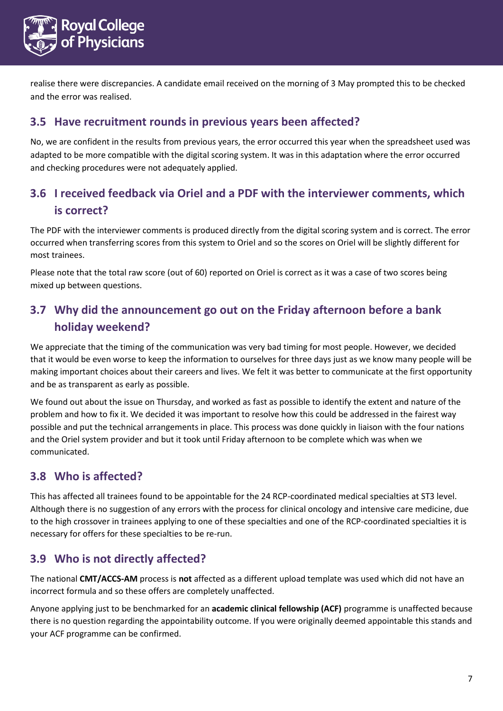

realise there were discrepancies. A candidate email received on the morning of 3 May prompted this to be checked and the error was realised.

### <span id="page-6-0"></span>**3.5 Have recruitment rounds in previous years been affected?**

No, we are confident in the results from previous years, the error occurred this year when the spreadsheet used was adapted to be more compatible with the digital scoring system. It was in this adaptation where the error occurred and checking procedures were not adequately applied.

## <span id="page-6-1"></span>**3.6 I received feedback via Oriel and a PDF with the interviewer comments, which is correct?**

The PDF with the interviewer comments is produced directly from the digital scoring system and is correct. The error occurred when transferring scores from this system to Oriel and so the scores on Oriel will be slightly different for most trainees.

Please note that the total raw score (out of 60) reported on Oriel is correct as it was a case of two scores being mixed up between questions.

## <span id="page-6-2"></span>**3.7 Why did the announcement go out on the Friday afternoon before a bank holiday weekend?**

We appreciate that the timing of the communication was very bad timing for most people. However, we decided that it would be even worse to keep the information to ourselves for three days just as we know many people will be making important choices about their careers and lives. We felt it was better to communicate at the first opportunity and be as transparent as early as possible.

We found out about the issue on Thursday, and worked as fast as possible to identify the extent and nature of the problem and how to fix it. We decided it was important to resolve how this could be addressed in the fairest way possible and put the technical arrangements in place. This process was done quickly in liaison with the four nations and the Oriel system provider and but it took until Friday afternoon to be complete which was when we communicated.

### <span id="page-6-3"></span>**3.8 Who is affected?**

This has affected all trainees found to be appointable for the 24 RCP-coordinated medical specialties at ST3 level. Although there is no suggestion of any errors with the process for clinical oncology and intensive care medicine, due to the high crossover in trainees applying to one of these specialties and one of the RCP-coordinated specialties it is necessary for offers for these specialties to be re-run.

### <span id="page-6-4"></span>**3.9 Who is not directly affected?**

The national **CMT/ACCS-AM** process is **not** affected as a different upload template was used which did not have an incorrect formula and so these offers are completely unaffected.

Anyone applying just to be benchmarked for an **academic clinical fellowship (ACF)** programme is unaffected because there is no question regarding the appointability outcome. If you were originally deemed appointable this stands and your ACF programme can be confirmed.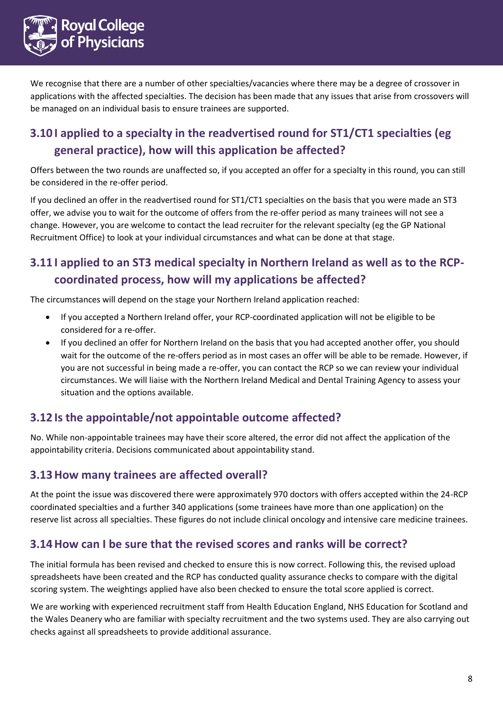

We recognise that there are a number of other specialties/vacancies where there may be a degree of crossover in applications with the affected specialties. The decision has been made that any issues that arise from crossovers will be managed on an individual basis to ensure trainees are supported.

## <span id="page-7-0"></span>**3.10 I applied to a specialty in the readvertised round for ST1/CT1 specialties (eg general practice), how will this application be affected?**

Offers between the two rounds are unaffected so, if you accepted an offer for a specialty in this round, you can still be considered in the re-offer period.

If you declined an offer in the readvertised round for ST1/CT1 specialties on the basis that you were made an ST3 offer, we advise you to wait for the outcome of offers from the re-offer period as many trainees will not see a change. However, you are welcome to contact the lead recruiter for the relevant specialty (eg the GP National Recruitment Office) to look at your individual circumstances and what can be done at that stage.

## <span id="page-7-1"></span>**3.11 I applied to an ST3 medical specialty in Northern Ireland as well as to the RCPcoordinated process, how will my applications be affected?**

The circumstances will depend on the stage your Northern Ireland application reached:

- If you accepted a Northern Ireland offer, your RCP-coordinated application will not be eligible to be considered for a re-offer.
- If you declined an offer for Northern Ireland on the basis that you had accepted another offer, you should wait for the outcome of the re-offers period as in most cases an offer will be able to be remade. However, if you are not successful in being made a re-offer, you can contact the RCP so we can review your individual circumstances. We will liaise with the Northern Ireland Medical and Dental Training Agency to assess your situation and the options available.

#### <span id="page-7-2"></span>**3.12 Is the appointable/not appointable outcome affected?**

No. While non-appointable trainees may have their score altered, the error did not affect the application of the appointability criteria. Decisions communicated about appointability stand.

#### <span id="page-7-3"></span>**3.13How many trainees are affected overall?**

At the point the issue was discovered there were approximately 970 doctors with offers accepted within the 24-RCP coordinated specialties and a further 340 applications (some trainees have more than one application) on the reserve list across all specialties. These figures do not include clinical oncology and intensive care medicine trainees.

#### <span id="page-7-4"></span>**3.14How can I be sure that the revised scores and ranks will be correct?**

The initial formula has been revised and checked to ensure this is now correct. Following this, the revised upload spreadsheets have been created and the RCP has conducted quality assurance checks to compare with the digital scoring system. The weightings applied have also been checked to ensure the total score applied is correct.

We are working with experienced recruitment staff from Health Education England, NHS Education for Scotland and the Wales Deanery who are familiar with specialty recruitment and the two systems used. They are also carrying out checks against all spreadsheets to provide additional assurance.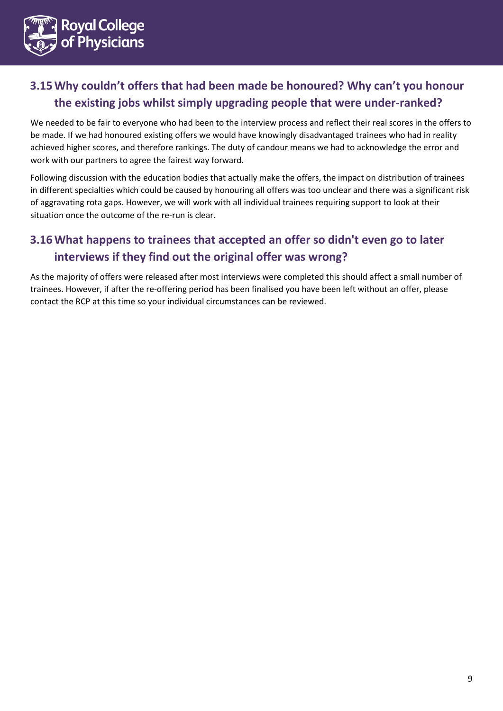

## <span id="page-8-0"></span>**3.15Why couldn't offers that had been made be honoured? Why can't you honour the existing jobs whilst simply upgrading people that were under-ranked?**

We needed to be fair to everyone who had been to the interview process and reflect their real scores in the offers to be made. If we had honoured existing offers we would have knowingly disadvantaged trainees who had in reality achieved higher scores, and therefore rankings. The duty of candour means we had to acknowledge the error and work with our partners to agree the fairest way forward.

Following discussion with the education bodies that actually make the offers, the impact on distribution of trainees in different specialties which could be caused by honouring all offers was too unclear and there was a significant risk of aggravating rota gaps. However, we will work with all individual trainees requiring support to look at their situation once the outcome of the re-run is clear.

## <span id="page-8-1"></span>**3.16What happens to trainees that accepted an offer so didn't even go to later interviews if they find out the original offer was wrong?**

As the majority of offers were released after most interviews were completed this should affect a small number of trainees. However, if after the re-offering period has been finalised you have been left without an offer, please contact the RCP at this time so your individual circumstances can be reviewed.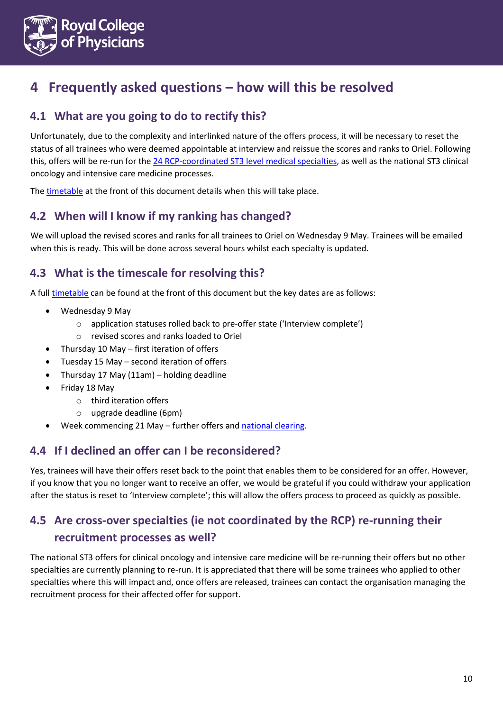

## <span id="page-9-0"></span>**4 Frequently asked questions – how will this be resolved**

## <span id="page-9-1"></span>**4.1 What are you going to do to rectify this?**

Unfortunately, due to the complexity and interlinked nature of the offers process, it will be necessary to reset the status of all trainees who were deemed appointable at interview and reissue the scores and ranks to Oriel. Following this, offers will be re-run for the [24 RCP-coordinated ST3 level medical specialties,](http://www.st3recruitment.org.uk/specialties/overview) as well as the national ST3 clinical oncology and intensive care medicine processes.

The [timetable](#page-3-1) at the front of this document details when this will take place.

## <span id="page-9-2"></span>**4.2 When will I know if my ranking has changed?**

We will upload the revised scores and ranks for all trainees to Oriel on Wednesday 9 May. Trainees will be emailed when this is ready. This will be done across several hours whilst each specialty is updated.

## <span id="page-9-3"></span>**4.3 What is the timescale for resolving this?**

A ful[l timetable](#page-3-1) can be found at the front of this document but the key dates are as follows:

- Wednesday 9 May
	- o application statuses rolled back to pre-offer state ('Interview complete')
	- o revised scores and ranks loaded to Oriel
- Thursday 10 May first iteration of offers
- Tuesday 15 May second iteration of offers
- Thursday 17 May (11am) holding deadline
- Friday 18 May
	- o third iteration offers
	- o upgrade deadline (6pm)
- Week commencing 21 May further offers and [national clearing.](#page-3-2)

### <span id="page-9-4"></span>**4.4 If I declined an offer can I be reconsidered?**

Yes, trainees will have their offers reset back to the point that enables them to be considered for an offer. However, if you know that you no longer want to receive an offer, we would be grateful if you could withdraw your application after the status is reset to 'Interview complete'; this will allow the offers process to proceed as quickly as possible.

## <span id="page-9-5"></span>**4.5 Are cross-over specialties (ie not coordinated by the RCP) re-running their recruitment processes as well?**

The national ST3 offers for clinical oncology and intensive care medicine will be re-running their offers but no other specialties are currently planning to re-run. It is appreciated that there will be some trainees who applied to other specialties where this will impact and, once offers are released, trainees can contact the organisation managing the recruitment process for their affected offer for support.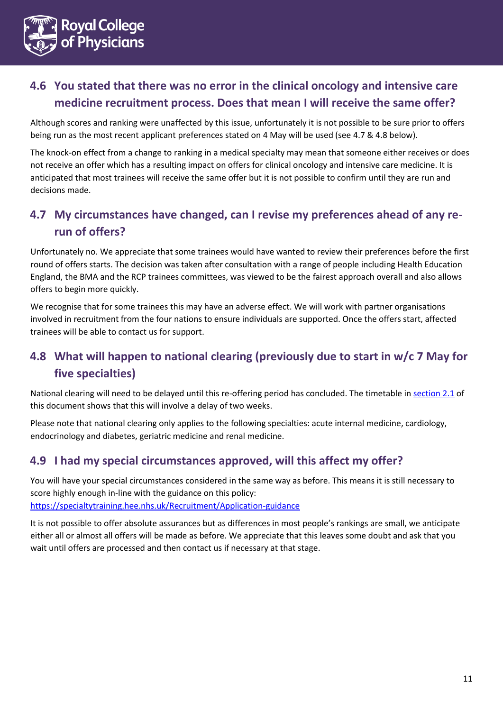

## <span id="page-10-0"></span>**4.6 You stated that there was no error in the clinical oncology and intensive care medicine recruitment process. Does that mean I will receive the same offer?**

Although scores and ranking were unaffected by this issue, unfortunately it is not possible to be sure prior to offers being run as the most recent applicant preferences stated on 4 May will be used (see 4.7 & 4.8 below).

The knock-on effect from a change to ranking in a medical specialty may mean that someone either receives or does not receive an offer which has a resulting impact on offers for clinical oncology and intensive care medicine. It is anticipated that most trainees will receive the same offer but it is not possible to confirm until they are run and decisions made.

## <span id="page-10-1"></span>**4.7 My circumstances have changed, can I revise my preferences ahead of any rerun of offers?**

Unfortunately no. We appreciate that some trainees would have wanted to review their preferences before the first round of offers starts. The decision was taken after consultation with a range of people including Health Education England, the BMA and the RCP trainees committees, was viewed to be the fairest approach overall and also allows offers to begin more quickly.

We recognise that for some trainees this may have an adverse effect. We will work with partner organisations involved in recruitment from the four nations to ensure individuals are supported. Once the offers start, affected trainees will be able to contact us for support.

## <span id="page-10-2"></span>**4.8 What will happen to national clearing (previously due to start in w/c 7 May for five specialties)**

National clearing will need to be delayed until this re-offering period has concluded. The timetable in [section 2.1](#page-4-0) of this document shows that this will involve a delay of two weeks.

Please note that national clearing only applies to the following specialties: acute internal medicine, cardiology, endocrinology and diabetes, geriatric medicine and renal medicine.

### <span id="page-10-3"></span>**4.9 I had my special circumstances approved, will this affect my offer?**

You will have your special circumstances considered in the same way as before. This means it is still necessary to score highly enough in-line with the guidance on this policy: <https://specialtytraining.hee.nhs.uk/Recruitment/Application-guidance>

It is not possible to offer absolute assurances but as differences in most people's rankings are small, we anticipate either all or almost all offers will be made as before. We appreciate that this leaves some doubt and ask that you wait until offers are processed and then contact us if necessary at that stage.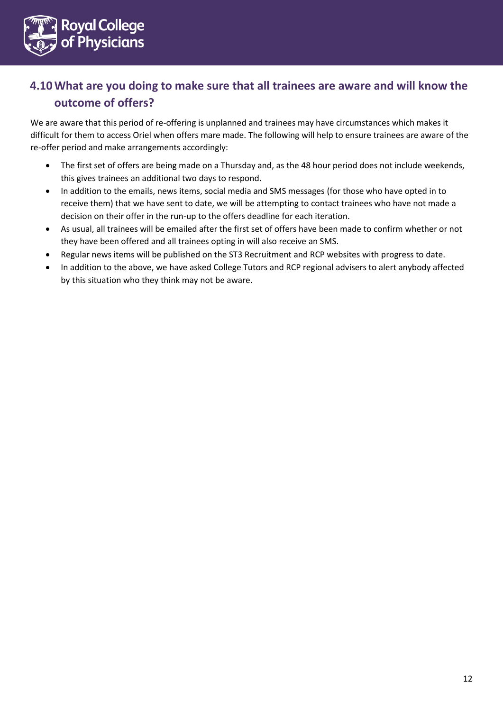

## <span id="page-11-0"></span>**4.10What are you doing to make sure that all trainees are aware and will know the outcome of offers?**

We are aware that this period of re-offering is unplanned and trainees may have circumstances which makes it difficult for them to access Oriel when offers mare made. The following will help to ensure trainees are aware of the re-offer period and make arrangements accordingly:

- The first set of offers are being made on a Thursday and, as the 48 hour period does not include weekends, this gives trainees an additional two days to respond.
- In addition to the emails, news items, social media and SMS messages (for those who have opted in to receive them) that we have sent to date, we will be attempting to contact trainees who have not made a decision on their offer in the run-up to the offers deadline for each iteration.
- As usual, all trainees will be emailed after the first set of offers have been made to confirm whether or not they have been offered and all trainees opting in will also receive an SMS.
- Regular news items will be published on the ST3 Recruitment and RCP websites with progress to date.
- In addition to the above, we have asked College Tutors and RCP regional advisers to alert anybody affected by this situation who they think may not be aware.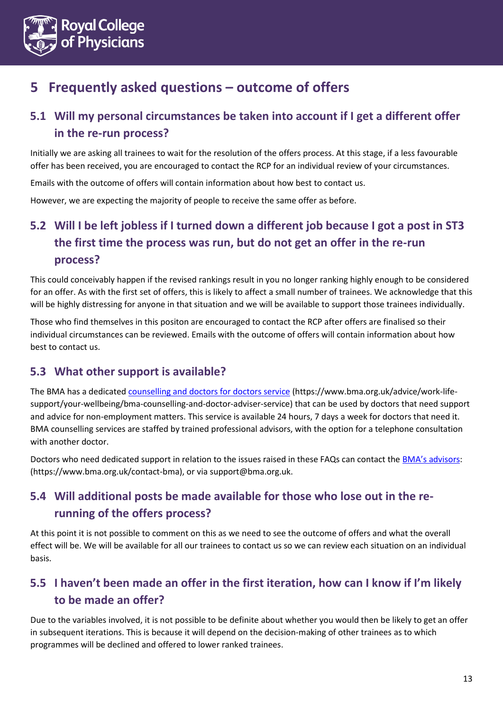

# <span id="page-12-0"></span>**5 Frequently asked questions – outcome of offers**

## <span id="page-12-1"></span>**5.1 Will my personal circumstances be taken into account if I get a different offer in the re-run process?**

Initially we are asking all trainees to wait for the resolution of the offers process. At this stage, if a less favourable offer has been received, you are encouraged to contact the RCP for an individual review of your circumstances.

Emails with the outcome of offers will contain information about how best to contact us.

However, we are expecting the majority of people to receive the same offer as before.

## <span id="page-12-2"></span>**5.2 Will I be left jobless if I turned down a different job because I got a post in ST3 the first time the process was run, but do not get an offer in the re-run process?**

This could conceivably happen if the revised rankings result in you no longer ranking highly enough to be considered for an offer. As with the first set of offers, this is likely to affect a small number of trainees. We acknowledge that this will be highly distressing for anyone in that situation and we will be available to support those trainees individually.

Those who find themselves in this positon are encouraged to contact the RCP after offers are finalised so their individual circumstances can be reviewed. Emails with the outcome of offers will contain information about how best to contact us.

### <span id="page-12-3"></span>**5.3 What other support is available?**

The BMA has a dedicated [counselling and doctors for doctors service](https://www.bma.org.uk/advice/work-life-support/your-wellbeing/bma-counselling-and-doctor-adviser-service) (https://www.bma.org.uk/advice/work-lifesupport/your-wellbeing/bma-counselling-and-doctor-adviser-service) that can be used by doctors that need support and advice for non-employment matters. This service is available 24 hours, 7 days a week for doctors that need it. BMA counselling services are staffed by trained professional advisors, with the option for a telephone consultation with another doctor.

Doctors who need dedicated support in relation to the issues raised in these FAQs can contact the [BMA's advisors](https://www.bma.org.uk/contact-bma): (https://www.bma.org.uk/contact-bma), or via support@bma.org.uk.

## <span id="page-12-4"></span>**5.4 Will additional posts be made available for those who lose out in the rerunning of the offers process?**

At this point it is not possible to comment on this as we need to see the outcome of offers and what the overall effect will be. We will be available for all our trainees to contact us so we can review each situation on an individual basis.

## <span id="page-12-5"></span>**5.5 I haven't been made an offer in the first iteration, how can I know if I'm likely to be made an offer?**

Due to the variables involved, it is not possible to be definite about whether you would then be likely to get an offer in subsequent iterations. This is because it will depend on the decision-making of other trainees as to which programmes will be declined and offered to lower ranked trainees.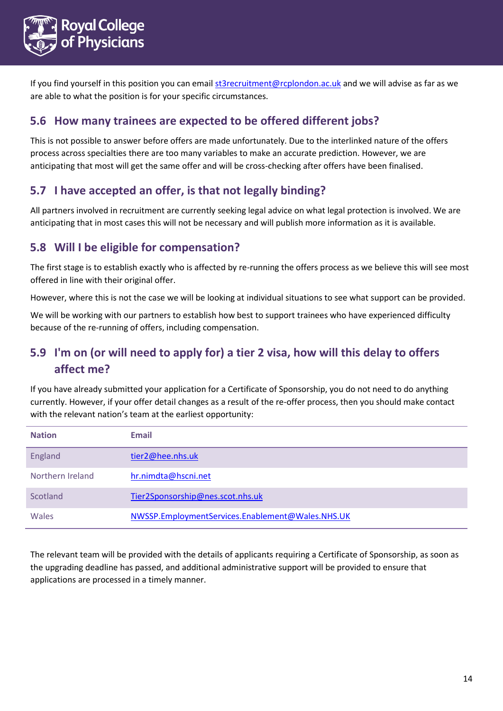

If you find yourself in this position you can emai[l st3recruitment@rcplondon.ac.uk](mailto:st3recruitment@rcplondon.ac.uk) and we will advise as far as we are able to what the position is for your specific circumstances.

### <span id="page-13-0"></span>**5.6 How many trainees are expected to be offered different jobs?**

This is not possible to answer before offers are made unfortunately. Due to the interlinked nature of the offers process across specialties there are too many variables to make an accurate prediction. However, we are anticipating that most will get the same offer and will be cross-checking after offers have been finalised.

## <span id="page-13-1"></span>**5.7 I have accepted an offer, is that not legally binding?**

All partners involved in recruitment are currently seeking legal advice on what legal protection is involved. We are anticipating that in most cases this will not be necessary and will publish more information as it is available.

## <span id="page-13-2"></span>**5.8 Will I be eligible for compensation?**

The first stage is to establish exactly who is affected by re-running the offers process as we believe this will see most offered in line with their original offer.

However, where this is not the case we will be looking at individual situations to see what support can be provided.

We will be working with our partners to establish how best to support trainees who have experienced difficulty because of the re-running of offers, including compensation.

## <span id="page-13-3"></span>**5.9 I'm on (or will need to apply for) a tier 2 visa, how will this delay to offers affect me?**

If you have already submitted your application for a Certificate of Sponsorship, you do not need to do anything currently. However, if your offer detail changes as a result of the re-offer process, then you should make contact with the relevant nation's team at the earliest opportunity:

| <b>Nation</b>    | <b>Email</b>                                     |
|------------------|--------------------------------------------------|
| England          | tier2@hee.nhs.uk                                 |
| Northern Ireland | hr.nimdta@hscni.net                              |
| Scotland         | Tier2Sponsorship@nes.scot.nhs.uk                 |
| Wales            | NWSSP.EmploymentServices.Enablement@Wales.NHS.UK |

The relevant team will be provided with the details of applicants requiring a Certificate of Sponsorship, as soon as the upgrading deadline has passed, and additional administrative support will be provided to ensure that applications are processed in a timely manner.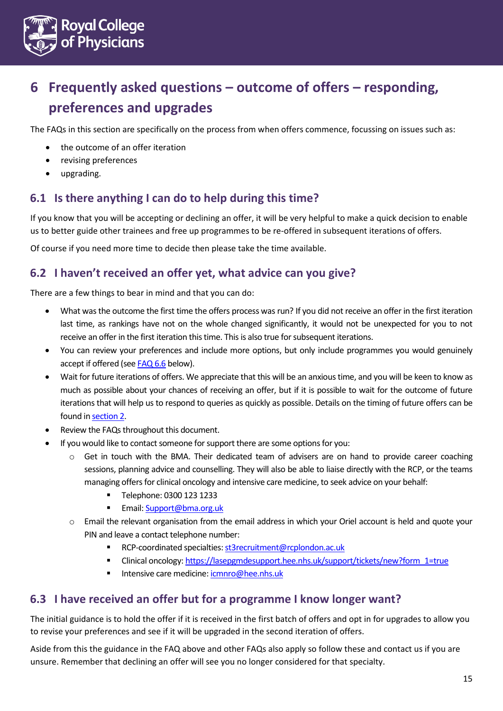

# <span id="page-14-0"></span>**6 Frequently asked questions – outcome of offers – responding, preferences and upgrades**

The FAQs in this section are specifically on the process from when offers commence, focussing on issues such as:

- the outcome of an offer iteration
- revising preferences
- upgrading.

#### <span id="page-14-1"></span>**6.1 Is there anything I can do to help during this time?**

If you know that you will be accepting or declining an offer, it will be very helpful to make a quick decision to enable us to better guide other trainees and free up programmes to be re-offered in subsequent iterations of offers.

Of course if you need more time to decide then please take the time available.

#### <span id="page-14-2"></span>**6.2 I haven't received an offer yet, what advice can you give?**

There are a few things to bear in mind and that you can do:

- What was the outcome the first time the offers process was run? If you did not receive an offer in the first iteration last time, as rankings have not on the whole changed significantly, it would not be unexpected for you to not receive an offer in the first iteration this time. This is also true for subsequent iterations.
- You can review your preferences and include more options, but only include programmes you would genuinely accept if offered (se[e FAQ 6.6](#page-15-3) below).
- Wait for future iterations of offers. We appreciate that this will be an anxious time, and you will be keen to know as much as possible about your chances of receiving an offer, but if it is possible to wait for the outcome of future iterations that will help us to respond to queries as quickly as possible. Details on the timing of future offers can be found i[n section 2.](#page-3-1)
- Review the FAQs throughout this document.
- If you would like to contact someone for support there are some options for you:
	- o Get in touch with the BMA. Their dedicated team of advisers are on hand to provide career coaching sessions, planning advice and counselling. They will also be able to liaise directly with the RCP, or the teams managing offers for clinical oncology and intensive care medicine, to seek advice on your behalf:
		- Telephone: 0300 123 1233
		- **Email: [Support@bma.org.uk](mailto:Support@bma.org.uk)**
	- o Email the relevant organisation from the email address in which your Oriel account is held and quote your PIN and leave a contact telephone number:
		- RCP-coordinated specialties: st3recruitment@rcplondon.ac.uk
		- Clinical oncology[: https://lasepgmdesupport.hee.nhs.uk/support/tickets/new?form\\_1=true](https://lasepgmdesupport.hee.nhs.uk/support/tickets/new?form_1=true)
		- Intensive care medicine[: icmnro@hee.nhs.uk](mailto:icmnro@hee.nhs.uk)

#### <span id="page-14-3"></span>**6.3 I have received an offer but for a programme I know longer want?**

The initial guidance is to hold the offer if it is received in the first batch of offers and opt in for upgrades to allow you to revise your preferences and see if it will be upgraded in the second iteration of offers.

Aside from this the guidance in the FAQ above and other FAQs also apply so follow these and contact us if you are unsure. Remember that declining an offer will see you no longer considered for that specialty.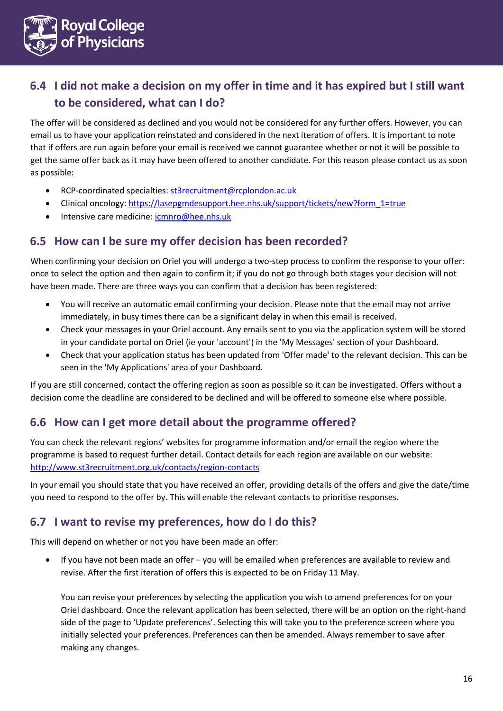

## <span id="page-15-0"></span>**6.4 I did not make a decision on my offer in time and it has expired but I still want to be considered, what can I do?**

The offer will be considered as declined and you would not be considered for any further offers. However, you can email us to have your application reinstated and considered in the next iteration of offers. It is important to note that if offers are run again before your email is received we cannot guarantee whether or not it will be possible to get the same offer back as it may have been offered to another candidate. For this reason please contact us as soon as possible:

- RCP-coordinated specialties[: st3recruitment@rcplondon.ac.uk](mailto:st3recruitment@rcplondon.ac.uk)
- Clinical oncology: [https://lasepgmdesupport.hee.nhs.uk/support/tickets/new?form\\_1=true](https://protect-eu.mimecast.com/s/REB6Cpg7XfvAkru2LfRe?domain=lasepgmdesupport.hee.nhs.uk)
- Intensive care medicine[: icmnro@hee.nhs.uk](mailto:icmnro@hee.nhs.uk)

#### <span id="page-15-1"></span>**6.5 How can I be sure my offer decision has been recorded?**

When confirming your decision on Oriel you will undergo a two-step process to confirm the response to your offer: once to select the option and then again to confirm it; if you do not go through both stages your decision will not have been made. There are three ways you can confirm that a decision has been registered:

- You will receive an automatic email confirming your decision. Please note that the email may not arrive immediately, in busy times there can be a significant delay in when this email is received.
- Check your messages in your Oriel account. Any emails sent to you via the application system will be stored in your candidate portal on Oriel (ie your 'account') in the 'My Messages' section of your Dashboard.
- Check that your application status has been updated from 'Offer made' to the relevant decision. This can be seen in the 'My Applications' area of your Dashboard.

If you are still concerned, contact the offering region as soon as possible so it can be investigated. Offers without a decision come the deadline are considered to be declined and will be offered to someone else where possible.

#### <span id="page-15-2"></span>**6.6 How can I get more detail about the programme offered?**

You can check the relevant regions' websites for programme information and/or email the region where the programme is based to request further detail. Contact details for each region are available on our website: <http://www.st3recruitment.org.uk/contacts/region-contacts>

In your email you should state that you have received an offer, providing details of the offers and give the date/time you need to respond to the offer by. This will enable the relevant contacts to prioritise responses.

#### <span id="page-15-3"></span>**6.7 I want to revise my preferences, how do I do this?**

This will depend on whether or not you have been made an offer:

 If you have not been made an offer – you will be emailed when preferences are available to review and revise. After the first iteration of offers this is expected to be on Friday 11 May.

You can revise your preferences by selecting the application you wish to amend preferences for on your Oriel dashboard. Once the relevant application has been selected, there will be an option on the right-hand side of the page to 'Update preferences'. Selecting this will take you to the preference screen where you initially selected your preferences. Preferences can then be amended. Always remember to save after making any changes.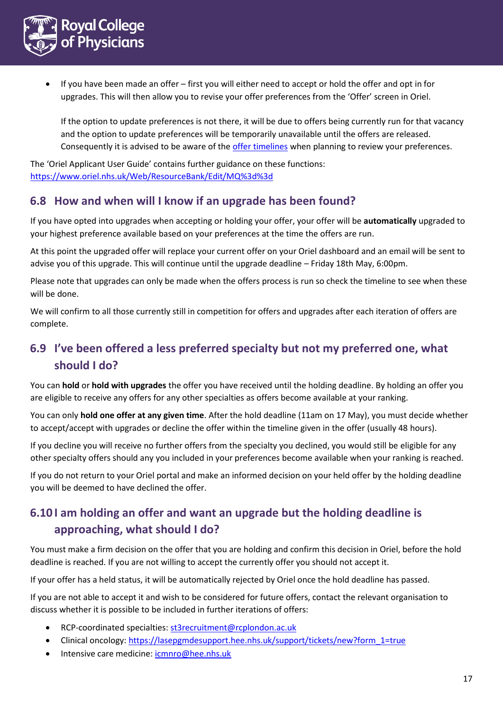

 If you have been made an offer – first you will either need to accept or hold the offer and opt in for upgrades. This will then allow you to revise your offer preferences from the 'Offer' screen in Oriel.

If the option to update preferences is not there, it will be due to offers being currently run for that vacancy and the option to update preferences will be temporarily unavailable until the offers are released. Consequently it is advised to be aware of the [offer timelines](#page-3-1) when planning to review your preferences.

The 'Oriel Applicant User Guide' contains further guidance on these functions: <https://www.oriel.nhs.uk/Web/ResourceBank/Edit/MQ%3d%3d>

#### <span id="page-16-0"></span>**6.8 How and when will I know if an upgrade has been found?**

If you have opted into upgrades when accepting or holding your offer, your offer will be **automatically** upgraded to your highest preference available based on your preferences at the time the offers are run.

At this point the upgraded offer will replace your current offer on your Oriel dashboard and an email will be sent to advise you of this upgrade. This will continue until the upgrade deadline – Friday 18th May, 6:00pm.

Please note that upgrades can only be made when the offers process is run so check the timeline to see when these will be done.

We will confirm to all those currently still in competition for offers and upgrades after each iteration of offers are complete.

## <span id="page-16-1"></span>**6.9 I've been offered a less preferred specialty but not my preferred one, what should I do?**

You can **hold** or **hold with upgrades** the offer you have received until the holding deadline. By holding an offer you are eligible to receive any offers for any other specialties as offers become available at your ranking.

You can only **hold one offer at any given time**. After the hold deadline (11am on 17 May), you must decide whether to accept/accept with upgrades or decline the offer within the timeline given in the offer (usually 48 hours).

If you decline you will receive no further offers from the specialty you declined, you would still be eligible for any other specialty offers should any you included in your preferences become available when your ranking is reached.

If you do not return to your Oriel portal and make an informed decision on your held offer by the holding deadline you will be deemed to have declined the offer.

## <span id="page-16-2"></span>**6.10 I am holding an offer and want an upgrade but the holding deadline is approaching, what should I do?**

You must make a firm decision on the offer that you are holding and confirm this decision in Oriel, before the hold deadline is reached. If you are not willing to accept the currently offer you should not accept it.

If your offer has a held status, it will be automatically rejected by Oriel once the hold deadline has passed.

If you are not able to accept it and wish to be considered for future offers, contact the relevant organisation to discuss whether it is possible to be included in further iterations of offers:

- RCP-coordinated specialties[: st3recruitment@rcplondon.ac.uk](mailto:st3recruitment@rcplondon.ac.uk)
- Clinical oncology: [https://lasepgmdesupport.hee.nhs.uk/support/tickets/new?form\\_1=true](https://protect-eu.mimecast.com/s/REB6Cpg7XfvAkru2LfRe?domain=lasepgmdesupport.hee.nhs.uk)
- Intensive care medicine[: icmnro@hee.nhs.uk](mailto:icmnro@hee.nhs.uk)